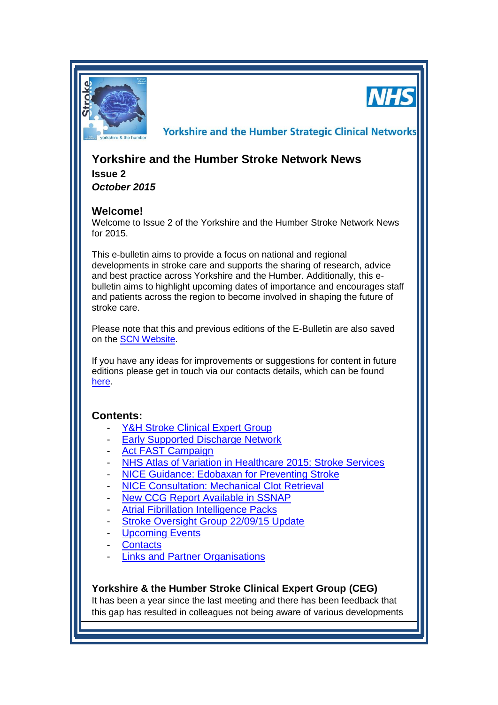



**Yorkshire and the Humber Strategic Clinical Networks** 

# **Yorkshire and the Humber Stroke Network News**

**Issue 2** *October 2015*

## **Welcome!**

Welcome to Issue 2 of the Yorkshire and the Humber Stroke Network News for 2015.

This e-bulletin aims to provide a focus on national and regional developments in stroke care and supports the sharing of research, advice and best practice across Yorkshire and the Humber. Additionally, this ebulletin aims to highlight upcoming dates of importance and encourages staff and patients across the region to become involved in shaping the future of stroke care.

Please note that this and previous editions of the E-Bulletin are also saved on the **SCN Website**.

If you have any ideas for improvements or suggestions for content in future editions please get in touch via our contacts details, which can be found [here.](#page-3-0)

## **Contents:**

- [Y&H Stroke Clinical Expert Group](#page-0-0)
- **[Early Supported Discharge Network](#page-1-0)**
- [Act FAST Campaign](#page-1-1)
- [NHS Atlas of Variation in Healthcare 2015: Stroke Services](#page-1-2)
- [NICE Guidance: Edobaxan for Preventing Stroke](#page-1-3)
- [NICE Consultation: Mechanical Clot Retrieval](#page-2-0)
- [New CCG Report Available in SSNAP](#page-2-1)
- [Atrial Fibrillation Intelligence Packs](#page-2-2)
- [Stroke Oversight Group 22/09/15 Update](#page-2-3)
- **[Upcoming Events](#page-2-4)**
- **[Contacts](#page-3-0)**
- [Links and Partner Organisations](#page-3-1)

### <span id="page-0-0"></span>**Yorkshire & the Humber Stroke Clinical Expert Group (CEG)**

It has been a year since the last meeting and there has been feedback that this gap has resulted in colleagues not being aware of various developments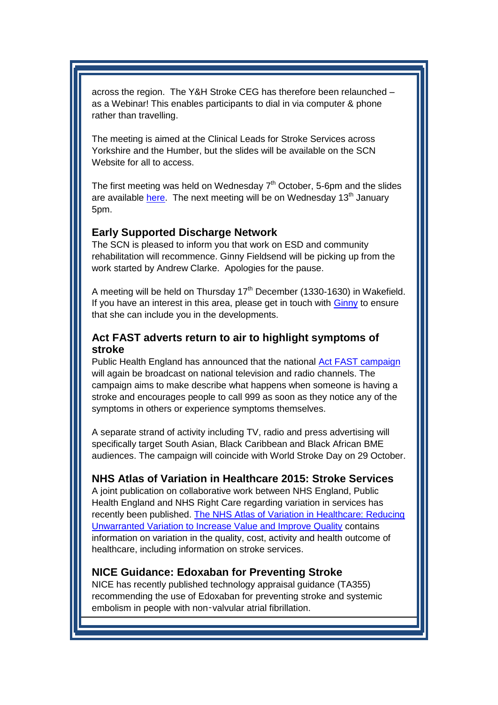across the region. The Y&H Stroke CEG has therefore been relaunched – as a Webinar! This enables participants to dial in via computer & phone rather than travelling.

The meeting is aimed at the Clinical Leads for Stroke Services across Yorkshire and the Humber, but the slides will be available on the SCN Website for all to access.

<span id="page-1-2"></span>The first meeting was held on Wednesday  $7<sup>th</sup>$  October, 5-6pm and the slides are available [here.](http://www.yhscn.nhs.uk/cardiovascular/Stroke/Stroke-Meetings.php) The next meeting will be on Wednesday 13<sup>th</sup> January 5pm.

#### <span id="page-1-0"></span>**Early Supported Discharge Network**

The SCN is pleased to inform you that work on ESD and community rehabilitation will recommence. Ginny Fieldsend will be picking up from the work started by Andrew Clarke. Apologies for the pause.

A meeting will be held on Thursday  $17<sup>th</sup>$  December (1330-1630) in Wakefield. If you have an interest in this area, please get in touch with [Ginny](mailto:ginny.fieldsend@nhs.net) to ensure that she can include you in the developments.

### <span id="page-1-1"></span>**Act FAST adverts return to air to highlight symptoms of stroke**

Public Health England has announced that the national [Act FAST campaign](https://www.gov.uk/government/news/act-fast-adverts-return-to-air-to-highlight-symptoms-of-stroke) will again be broadcast on national television and radio channels. The campaign aims to make describe what happens when someone is having a stroke and encourages people to call 999 as soon as they notice any of the symptoms in others or experience symptoms themselves.

A separate strand of activity including TV, radio and press advertising will specifically target South Asian, Black Caribbean and Black African BME audiences. The campaign will coincide with World Stroke Day on 29 October.

### **NHS Atlas of Variation in Healthcare 2015: Stroke Services**

A joint publication on collaborative work between NHS England, Public Health England and NHS Right Care regarding variation in services has recently been published. [The NHS Atlas of Variation in Healthcare: Reducing](http://www.rightcare.nhs.uk/index.php/atlas/nhs-atlas-of-variation-in-healthcare-2015)  [Unwarranted Variation to Increase Value and Improve Quality](http://www.rightcare.nhs.uk/index.php/atlas/nhs-atlas-of-variation-in-healthcare-2015) contains information on variation in the quality, cost, activity and health outcome of healthcare, including information on stroke services.

#### <span id="page-1-3"></span>**NICE Guidance: Edoxaban for Preventing Stroke**

NICE has recently published technology appraisal guidance (TA355) recommending the use of Edoxaban for preventing stroke and systemic embolism in people with non-valvular atrial fibrillation.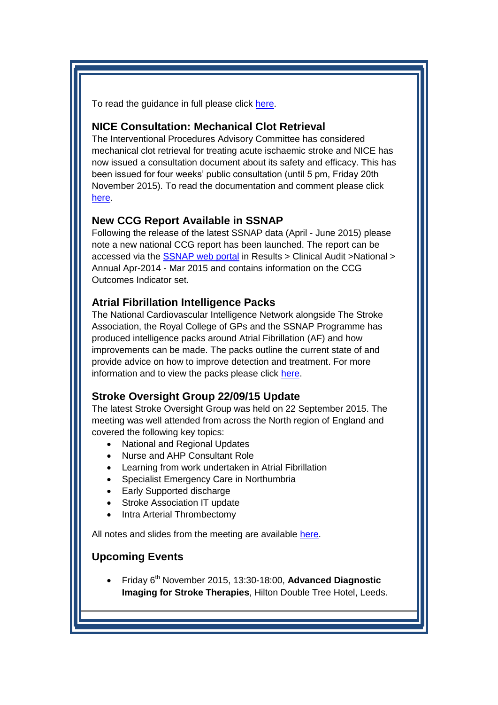To read the guidance in full please click [here.](http://www.nice.org.uk/guidance/ta355)

### <span id="page-2-0"></span>**NICE Consultation: Mechanical Clot Retrieval**

The Interventional Procedures Advisory Committee has considered mechanical clot retrieval for treating acute ischaemic stroke and NICE has now issued a consultation document about its safety and efficacy. This has been issued for four weeks' public consultation (until 5 pm, Friday 20th November 2015). To read the documentation and comment please click [here.](http://www.nice.org.uk/guidance/indevelopment/gid-ip2807/consultation/html-content)

#### <span id="page-2-1"></span>**New CCG Report Available in SSNAP**

Following the release of the latest SSNAP data (April - June 2015) please note a new national CCG report has been launched. The report can be accessed via the [SSNAP web portal](https://www.strokeaudit.org/) in Results > Clinical Audit >National > Annual Apr-2014 - Mar 2015 and contains information on the CCG Outcomes Indicator set.

### <span id="page-2-2"></span>**Atrial Fibrillation Intelligence Packs**

The National Cardiovascular Intelligence Network alongside The Stroke Association, the Royal College of GPs and the SSNAP Programme has produced intelligence packs around Atrial Fibrillation (AF) and how improvements can be made. The packs outline the current state of and provide advice on how to improve detection and treatment. For more information and to view the packs please click [here.](https://www.stroke.org.uk/professionals/af-how-can-we-do-better)

#### <span id="page-2-3"></span>**Stroke Oversight Group 22/09/15 Update**

The latest Stroke Oversight Group was held on 22 September 2015. The meeting was well attended from across the North region of England and covered the following key topics:

- National and Regional Updates
- Nurse and AHP Consultant Role
- Learning from work undertaken in Atrial Fibrillation
- Specialist Emergency Care in Northumbria
- Early Supported discharge
- Stroke Association IT update
- Intra Arterial Thrombectomy

All notes and slides from the meeting are available [here.](http://www.yhscn.nhs.uk/cardiovascular/Stroke/Stroke-Meetings.php)

### <span id="page-2-4"></span>**Upcoming Events**

 Friday 6th November 2015, 13:30-18:00, **Advanced Diagnostic Imaging for Stroke Therapies**, Hilton Double Tree Hotel, Leeds.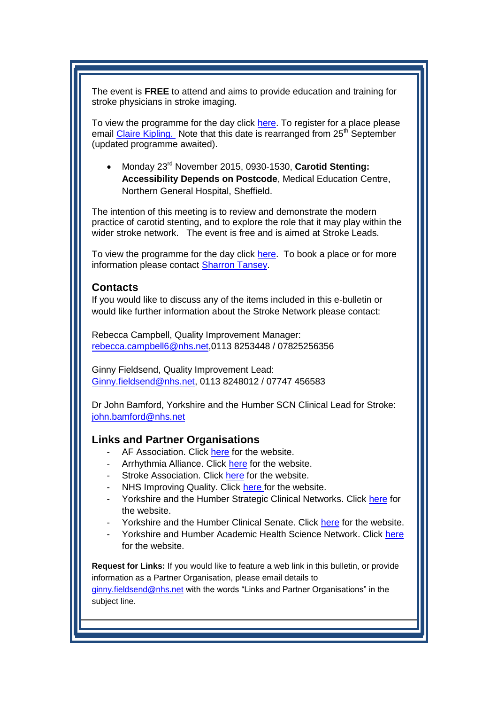The event is **FREE** to attend and aims to provide education and training for stroke physicians in stroke imaging.

To view the programme for the day click [here.](http://www.yhscn.nhs.uk/media/PDFs/cvd/Stroke/Events/2015_11_06_Advanced_diagnostic_imaging_for_stroke_course.pdf) To register for a place please email [Claire Kipling.](mailto:claire.kipling@medtronic.com) Note that this date is rearranged from 25<sup>th</sup> September (updated programme awaited).

 Monday 23rd November 2015, 0930-1530, **Carotid Stenting: Accessibility Depends on Postcode**, Medical Education Centre, Northern General Hospital, Sheffield.

The intention of this meeting is to review and demonstrate the modern practice of carotid stenting, and to explore the role that it may play within the wider stroke network. The event is free and is aimed at Stroke Leads.

To view the programme for the day click [here.](http://www.yhscn.nhs.uk/media/PDFs/cvd/Stroke/Events/2015_11_23_sth_cas_and_stroke_meeting.pdf) To book a place or for more information please contact [Sharron Tansey.](mailto:Tanseys@bsci.com)

#### <span id="page-3-0"></span>**Contacts**

If you would like to discuss any of the items included in this e-bulletin or would like further information about the Stroke Network please contact:

Rebecca Campbell, Quality Improvement Manager: [rebecca.campbell6@nhs.net,](mailto:rebecca.campbell6@nhs.net)0113 8253448 / 07825256356

Ginny Fieldsend, Quality Improvement Lead: [Ginny.fieldsend@nhs.net,](mailto:Ginny.fieldsend@nhs.net) 0113 8248012 / 07747 456583

Dr John Bamford, Yorkshire and the Humber SCN Clinical Lead for Stroke: [john.bamford@nhs.net](mailto:john.bamford@nhs.net)

#### <span id="page-3-1"></span>**Links and Partner Organisations**

- AF Association. Click [here](http://www.atrialfibrillation.org.uk/) for the website.
- Arrhythmia Alliance. Click [here](http://www.heartrhythmcharity.org.uk/www/76/0/Atrial_fibrillation/) for the website.
- Stroke Association. Click [here](https://www.stroke.org.uk/) for the website.
- NHS Improving Quality. Click [here f](http://www.nhsiq.nhs.uk/)or the website.
- Yorkshire and the Humber Strategic Clinical Networks. Click [here](http://www.yhscn.nhs.uk/index.php) for the website.
- Yorkshire and the Humber Clinical Senate. Click [here](http://www.yhsenate.nhs.uk/index.php) for the website.
- Yorkshire and Humber Academic Health Science Network. Click [here](http://www.yhahsn.org.uk/) for the website.

**Request for Links:** If you would like to feature a web link in this bulletin, or provide information as a Partner Organisation, please email details to

[ginny.fieldsend@nhs.net](mailto:ginny.fieldsend@nhs.net) with the words "Links and Partner Organisations" in the subject line.